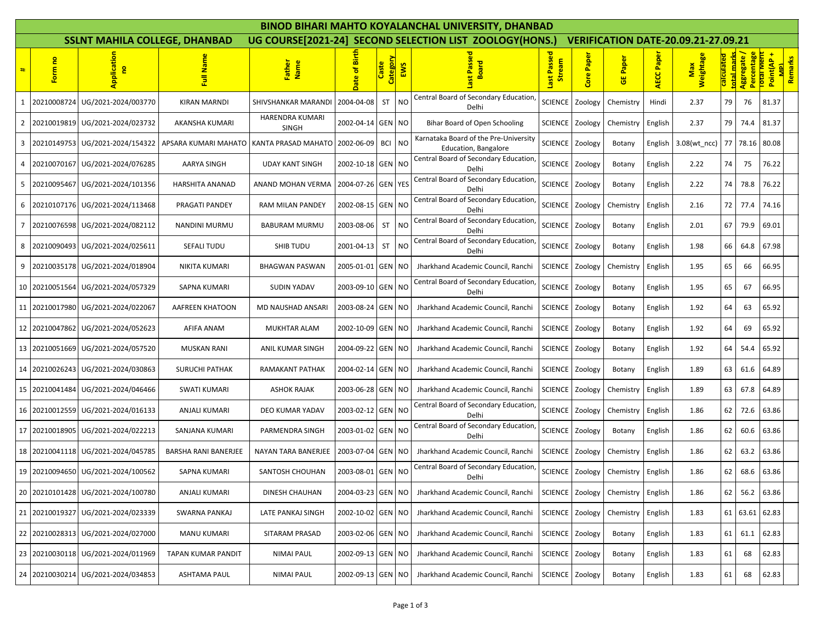|    | <b>BINOD BIHARI MAHTO KOYALANCHAL UNIVERSITY, DHANBAD</b> |                                      |                        |                                 |                                                         |                   |                |                                                               |                       |                                            |                 |            |                  |                          |                                          |                                    |  |
|----|-----------------------------------------------------------|--------------------------------------|------------------------|---------------------------------|---------------------------------------------------------|-------------------|----------------|---------------------------------------------------------------|-----------------------|--------------------------------------------|-----------------|------------|------------------|--------------------------|------------------------------------------|------------------------------------|--|
|    |                                                           | <b>SSLNT MAHILA COLLEGE, DHANBAD</b> |                        |                                 | UG COURSE[2021-24] SECOND SELECTION LIST ZOOLOGY(HONS.) |                   |                |                                                               |                       | <b>VERIFICATION DATE-20.09.21-27.09.21</b> |                 |            |                  |                          |                                          |                                    |  |
| #  | g<br>Form                                                 | <b>Application</b><br>e              | ull Nar                | Father<br>Name                  | Date of Birt                                            | Category<br>Caste | EWS            | Passe<br><b>Board</b><br>last                                 | Last Passed<br>Stream | Core Paper                                 | <b>GE Paper</b> | AECC Paper | Weightage<br>Max | calculated<br>total marl | Aggregate /<br>Percentage<br>Total Merit | Point(AP+<br>Remarks<br><b>GIN</b> |  |
| 1  | 20210008724                                               | UG/2021-2024/003770                  | <b>KIRAN MARNDI</b>    | SHIVSHANKAR MARANDI             | 2004-04-08                                              | <b>ST</b>         | <b>NO</b>      | Central Board of Secondary Education,<br>Delhi                | <b>SCIENCE</b>        | Zoology                                    | Chemistry       | Hindi      | 2.37             | 79                       | 76                                       | 81.37                              |  |
| 2  |                                                           | 20210019819 UG/2021-2024/023732      | AKANSHA KUMARI         | HARENDRA KUMARI<br><b>SINGH</b> | 2002-04-14 GEN NO                                       |                   |                | Bihar Board of Open Schooling                                 | <b>SCIENCE</b>        | Zoology                                    | Chemistry       | English    | 2.37             | 79                       | 74.4                                     | 81.37                              |  |
| 3  | 20210149753                                               | UG/2021-2024/154322                  | APSARA KUMARI MAHATO   | KANTA PRASAD MAHATO             | 2002-06-09                                              | BCI NO            |                | Karnataka Board of the Pre-University<br>Education, Bangalore | <b>SCIENCE</b>        | Zoology                                    | Botany          | English    | $3.08(wt$ ncc)   | 77                       | 78.16                                    | 80.08                              |  |
| 4  | 20210070167                                               | UG/2021-2024/076285                  | AARYA SINGH            | <b>UDAY KANT SINGH</b>          | 2002-10-18 GEN NO                                       |                   |                | Central Board of Secondary Education,<br>Delhi                | <b>SCIENCE</b>        | Zoology                                    | Botany          | English    | 2.22             | 74                       | 75                                       | 76.22                              |  |
| 5  | 20210095467                                               | UG/2021-2024/101356                  | <b>HARSHITA ANANAD</b> | ANAND MOHAN VERMA               | 2004-07-26 GEN YES                                      |                   |                | Central Board of Secondary Education,<br>Delhi                | <b>SCIENCE</b>        | Zoology                                    | Botany          | English    | 2.22             | 74                       | 78.8                                     | 76.22                              |  |
| 6  | 20210107176                                               | UG/2021-2024/113468                  | PRAGATI PANDEY         | RAM MILAN PANDEY                | 2002-08-15 GEN NO                                       |                   |                | Central Board of Secondary Education,<br>Delhi                | <b>SCIENCE</b>        | Zoology                                    | Chemistry       | English    | 2.16             | 72                       | 77.4                                     | 74.16                              |  |
| 7  |                                                           | 20210076598 UG/2021-2024/082112      | NANDINI MURMU          | <b>BABURAM MURMU</b>            | 2003-08-06                                              | ST                | N <sub>O</sub> | Central Board of Secondary Education,<br>Delhi                | <b>SCIENCE</b>        | Zoology                                    | Botany          | English    | 2.01             | 67                       | 79.9                                     | 69.01                              |  |
| 8  | 20210090493                                               | UG/2021-2024/025611                  | SEFALI TUDU            | SHIB TUDU                       | 2001-04-13                                              | <b>ST</b>         | N <sub>O</sub> | Central Board of Secondary Education,<br>Delhi                | <b>SCIENCE</b>        | Zoology                                    | Botany          | English    | 1.98             | 66                       | 64.8                                     | 67.98                              |  |
| 9  | 20210035178                                               | UG/2021-2024/018904                  | NIKITA KUMARI          | <b>BHAGWAN PASWAN</b>           | 2005-01-01 GEN                                          |                   | <b>NO</b>      | Jharkhand Academic Council, Ranchi                            | <b>SCIENCE</b>        | Zoology                                    | Chemistry       | English    | 1.95             | 65                       | 66                                       | 66.95                              |  |
| 10 | 20210051564                                               | UG/2021-2024/057329                  | <b>SAPNA KUMARI</b>    | <b>SUDIN YADAV</b>              | 2003-09-10 GEN NO                                       |                   |                | Central Board of Secondary Education,<br>Delhi                | <b>SCIENCE</b>        | Zoology                                    | Botany          | English    | 1.95             | 65                       | 67                                       | 66.95                              |  |
|    | 11 20210017980                                            | UG/2021-2024/022067                  | AAFREEN KHATOON        | MD NAUSHAD ANSARI               | 2003-08-24 GEN NO                                       |                   |                | Jharkhand Academic Council, Ranchi                            | <b>SCIENCE</b>        | Zoology                                    | Botany          | English    | 1.92             | 64                       | 63                                       | 65.92                              |  |
|    | 12 20210047862                                            | UG/2021-2024/052623                  | AFIFA ANAM             | <b>MUKHTAR ALAM</b>             | 2002-10-09 GEN                                          |                   | <b>NO</b>      | Jharkhand Academic Council, Ranchi                            | <b>SCIENCE</b>        | Zoology                                    | Botany          | English    | 1.92             | 64                       | 69                                       | 65.92                              |  |
|    | 13 20210051669                                            | UG/2021-2024/057520                  | <b>MUSKAN RANI</b>     | ANIL KUMAR SINGH                | 2004-09-22 GEN NO                                       |                   |                | Jharkhand Academic Council, Ranchi                            | <b>SCIENCE</b>        | Zoology                                    | Botany          | English    | 1.92             | 64                       | 54.4                                     | 65.92                              |  |
|    | 14 20210026243                                            | UG/2021-2024/030863                  | <b>SURUCHI PATHAK</b>  | RAMAKANT PATHAK                 | 2004-02-14 GEN NO                                       |                   |                | Jharkhand Academic Council, Ranchi                            | <b>SCIENCE</b>        | Zoology                                    | Botany          | English    | 1.89             | 63                       | 61.6                                     | 64.89                              |  |
|    | 15 20210041484                                            | UG/2021-2024/046466                  | <b>SWATI KUMARI</b>    | <b>ASHOK RAJAK</b>              | 2003-06-28 GEN NO                                       |                   |                | Jharkhand Academic Council, Ranchi                            | <b>SCIENCE</b>        | Zoology                                    | Chemistry       | English    | 1.89             | 63                       | 67.8                                     | 64.89                              |  |
|    | 16 20210012559                                            | UG/2021-2024/016133                  | ANJALI KUMARI          | DEO KUMAR YADAV                 | 2003-02-12 GEN NO                                       |                   |                | Central Board of Secondary Education,<br>Delhi                | <b>SCIENCE</b>        | Zoology                                    | Chemistry       | English    | 1.86             | 62                       | 72.6                                     | 63.86                              |  |
|    | 17 20210018905                                            | UG/2021-2024/022213                  | SANJANA KUMARI         | PARMENDRA SINGH                 | 2003-01-02 GEN NO                                       |                   |                | Central Board of Secondary Education<br>Delhi                 | <b>SCIENCE</b>        | Zoology                                    | Botany          | English    | 1.86             | 62                       | 60.6                                     | 63.86                              |  |
|    | 18 20210041118                                            | UG/2021-2024/045785                  | BARSHA RANI BANERJEE   | NAYAN TARA BANERJEE             | 2003-07-04 GEN NO                                       |                   |                | Jharkhand Academic Council, Ranchi                            | <b>SCIENCE</b>        | Zoology                                    | Chemistry       | English    | 1.86             | 62                       | 63.2                                     | 63.86                              |  |
|    |                                                           | 19 20210094650 UG/2021-2024/100562   | SAPNA KUMARI           | SANTOSH CHOUHAN                 | 2003-08-01 GEN NO                                       |                   |                | Central Board of Secondary Education,<br>Delhi                | <b>SCIENCE</b>        | Zoology                                    | Chemistry       | English    | 1.86             | 62                       | 68.6                                     | 63.86                              |  |
|    | 20 20210101428                                            | UG/2021-2024/100780                  | <b>ANJALI KUMARI</b>   | DINESH CHAUHAN                  | 2004-03-23 GEN NO                                       |                   |                | Jharkhand Academic Council, Ranchi                            | SCIENCE Zoology       |                                            | Chemistry       | English    | 1.86             | 62                       |                                          | 56.2 63.86                         |  |
|    | 21 20210019327                                            | UG/2021-2024/023339                  | SWARNA PANKAJ          | LATE PANKAJ SINGH               | 2002-10-02 GEN NO                                       |                   |                | Jharkhand Academic Council, Ranchi                            | <b>SCIENCE</b>        | Zoology                                    | Chemistry       | English    | 1.83             |                          |                                          | 61 63.61 62.83                     |  |
|    | 22 20210028313                                            | UG/2021-2024/027000                  | <b>MANU KUMARI</b>     | SITARAM PRASAD                  | 2003-02-06 GEN NO                                       |                   |                | Jharkhand Academic Council, Ranchi                            | SCIENCE               | Zoology                                    | Botany          | English    | 1.83             | 61                       |                                          | 61.1 62.83                         |  |
|    | 23 20210030118                                            | UG/2021-2024/011969                  | TAPAN KUMAR PANDIT     | <b>NIMAI PAUL</b>               | 2002-09-13 GEN NO                                       |                   |                | Jharkhand Academic Council, Ranchi                            | <b>SCIENCE</b>        | Zoology                                    | Botany          | English    | 1.83             | 61                       | 68                                       | 62.83                              |  |
|    | 24 20210030214                                            | UG/2021-2024/034853                  | <b>ASHTAMA PAUL</b>    | <b>NIMAI PAUL</b>               | 2002-09-13 GEN NO                                       |                   |                | Jharkhand Academic Council, Ranchi                            | <b>SCIENCE</b>        | Zoology                                    | Botany          | English    | 1.83             | 61                       | 68                                       | 62.83                              |  |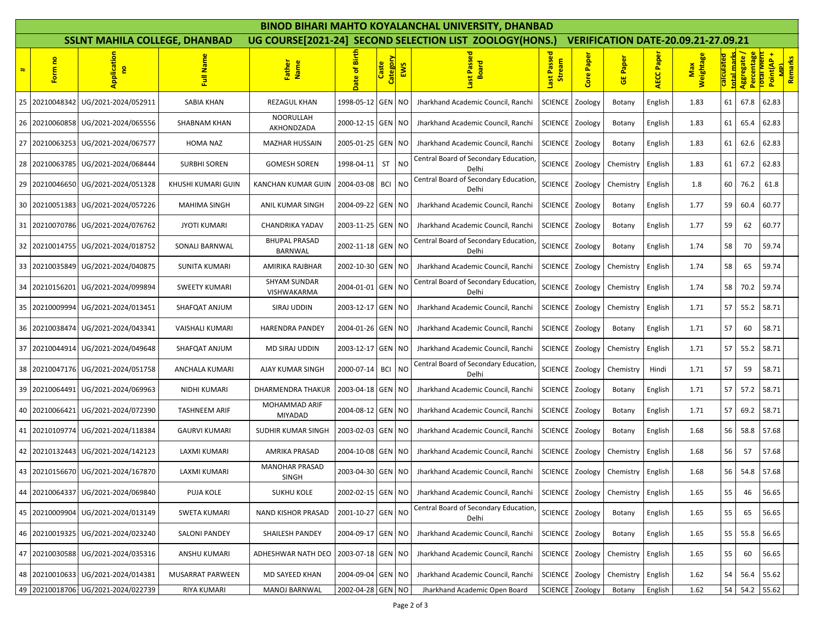|   | <b>BINOD BIHARI MAHTO KOYALANCHAL UNIVERSITY, DHANBAD</b> |                                      |                        |                                        |                   |                   |                |                                                         |                          |                                            |                 |                   |                  |                          |                                           |                                   |  |
|---|-----------------------------------------------------------|--------------------------------------|------------------------|----------------------------------------|-------------------|-------------------|----------------|---------------------------------------------------------|--------------------------|--------------------------------------------|-----------------|-------------------|------------------|--------------------------|-------------------------------------------|-----------------------------------|--|
|   |                                                           | <b>SSLNT MAHILA COLLEGE, DHANBAD</b> |                        |                                        |                   |                   |                | UG COURSE[2021-24] SECOND SELECTION LIST ZOOLOGY(HONS.) |                          | <b>VERIFICATION DATE-20.09.21-27.09.21</b> |                 |                   |                  |                          |                                           |                                   |  |
| # | <b>P</b><br>Form                                          | <b>Application</b>                   | Full Name              | Father<br>Name                         | ate of Birth      | Category<br>Caste | EWS            | Passed<br>pieo<br>ø<br><b>last</b>                      | Passed<br>Stream<br>last | Paper<br>Core                              | <b>GE Paper</b> | <b>AECC Paper</b> | Weightage<br>Max | calculated<br>total marl | Aggregate /<br>Percentage<br>Total Merric | Point(AP+<br>Remarks<br><b>PM</b> |  |
|   | 25 20210048342                                            | UG/2021-2024/052911                  | <b>SABIA KHAN</b>      | <b>REZAGUL KHAN</b>                    | 1998-05-12        | <b>GEN</b>        | <b>NO</b>      | Jharkhand Academic Council, Ranchi                      | <b>SCIENCE</b>           | Zoology                                    | Botany          | English           | 1.83             | 61                       | 67.8                                      | 62.83                             |  |
|   |                                                           | 26 20210060858 UG/2021-2024/065556   | SHABNAM KHAN           | NOORULLAH<br>AKHONDZADA                | 2000-12-15 GEN    |                   | <b>NO</b>      | Jharkhand Academic Council, Ranchi                      | SCIENCE                  | Zoology                                    | Botany          | English           | 1.83             | 61                       | 65.4                                      | 62.83                             |  |
|   |                                                           | 27 20210063253 UG/2021-2024/067577   | HOMA NAZ               | <b>MAZHAR HUSSAIN</b>                  | 2005-01-25 GEN    |                   | N <sub>O</sub> | Jharkhand Academic Council, Ranchi                      | SCIENCE                  | Zoology                                    | Botany          | English           | 1.83             | 61                       | 62.6                                      | 62.83                             |  |
|   |                                                           | 28 20210063785 UG/2021-2024/068444   | <b>SURBHI SOREN</b>    | <b>GOMESH SOREN</b>                    | 1998-04-11        | <b>ST</b>         | <b>NO</b>      | Central Board of Secondary Education,<br>Delhi          | <b>SCIENCE</b>           | Zoology                                    | Chemistry       | English           | 1.83             | 61                       | 67.2                                      | 62.83                             |  |
|   |                                                           | 29 20210046650 UG/2021-2024/051328   | KHUSHI KUMARI GUIN     | <b>KANCHAN KUMAR GUIN</b>              | 2004-03-08        | <b>BCI</b>        | <b>NO</b>      | Central Board of Secondary Education,<br>Delhi          | SCIENCE                  | Zoology                                    | Chemistry       | English           | 1.8              | 60                       | 76.2                                      | 61.8                              |  |
|   |                                                           | 30 20210051383 UG/2021-2024/057226   | <b>MAHIMA SINGH</b>    | ANIL KUMAR SINGH                       | 2004-09-22 GEN    |                   | <b>NO</b>      | Jharkhand Academic Council, Ranchi                      | <b>SCIENCE</b>           | Zoology                                    | Botany          | English           | 1.77             | 59                       | 60.4                                      | 60.77                             |  |
|   |                                                           | 31 20210070786 UG/2021-2024/076762   | <b>JYOTI KUMARI</b>    | CHANDRIKA YADAV                        | 2003-11-25 GEN    |                   | <b>NO</b>      | Jharkhand Academic Council, Ranchi                      | SCIENCE                  | Zoology                                    | Botany          | English           | 1.77             | 59                       | 62                                        | 60.77                             |  |
|   |                                                           | 32 20210014755 UG/2021-2024/018752   | SONALI BARNWAL         | <b>BHUPAL PRASAD</b><br><b>BARNWAL</b> | 2002-11-18 GEN    |                   | <b>NO</b>      | Central Board of Secondary Education,<br>Delhi          | <b>SCIENCE</b>           | Zoology                                    | Botany          | English           | 1.74             | 58                       | 70                                        | 59.74                             |  |
|   |                                                           | 33 20210035849 UG/2021-2024/040875   | <b>SUNITA KUMARI</b>   | AMIRIKA RAJBHAR                        | 2002-10-30 GEN    |                   | <b>NO</b>      | Jharkhand Academic Council, Ranchi                      | <b>SCIENCE</b>           | Zoology                                    | Chemistry       | English           | 1.74             | 58                       | 65                                        | 59.74                             |  |
|   |                                                           | 34 20210156201 UG/2021-2024/099894   | <b>SWEETY KUMARI</b>   | <b>SHYAM SUNDAR</b><br>VISHWAKARMA     | 2004-01-01 GEN    |                   | <b>NO</b>      | Central Board of Secondary Education,<br>Delhi          | <b>SCIENCE</b>           | Zoology                                    | Chemistry       | English           | 1.74             | 58                       | 70.2                                      | 59.74                             |  |
|   | 35 20210009994                                            | UG/2021-2024/013451                  | SHAFQAT ANJUM          | SIRAJ UDDIN                            | 2003-12-17 GEN    |                   | <b>NO</b>      | Jharkhand Academic Council, Ranchi                      | SCIENCE                  | Zoology                                    | Chemistry       | English           | 1.71             | 57                       | 55.2                                      | 58.71                             |  |
|   |                                                           | 36 20210038474 UG/2021-2024/043341   | <b>VAISHALI KUMARI</b> | <b>HARENDRA PANDEY</b>                 | 2004-01-26 GEN    |                   | <b>NO</b>      | Jharkhand Academic Council, Ranchi                      | SCIENCE                  | Zoology                                    | Botany          | English           | 1.71             | 57                       | 60                                        | 58.71                             |  |
|   |                                                           | 37 20210044914 UG/2021-2024/049648   | SHAFQAT ANJUM          | MD SIRAJ UDDIN                         | 2003-12-17 GEN    |                   | <b>NO</b>      | Jharkhand Academic Council, Ranchi                      | <b>SCIENCE</b>           | Zoology                                    | Chemistry       | English           | 1.71             | 57                       | 55.2                                      | 58.71                             |  |
|   |                                                           | 38 20210047176 UG/2021-2024/051758   | ANCHALA KUMARI         | AJAY KUMAR SINGH                       | 2000-07-14        | <b>BCI</b>        | <b>NO</b>      | Central Board of Secondary Education<br>Delhi           | SCIENCE                  | Zoology                                    | Chemistry       | Hindi             | 1.71             | 57                       | 59                                        | 58.71                             |  |
|   |                                                           | 39 20210064491 UG/2021-2024/069963   | NIDHI KUMARI           | <b>DHARMENDRA THAKUR</b>               | 2003-04-18 GEN    |                   | <b>NO</b>      | Jharkhand Academic Council, Ranchi                      | SCIENCE                  | Zoology                                    | Botany          | English           | 1.71             | 57                       | 57.2                                      | 58.71                             |  |
|   | 40 20210066421                                            | UG/2021-2024/072390                  | <b>TASHNEEM ARIF</b>   | MOHAMMAD ARIF<br><b>MIYADAD</b>        | 2004-08-12 GEN    |                   | <b>NO</b>      | Jharkhand Academic Council, Ranchi                      | <b>SCIENCE</b>           | Zoology                                    | Botany          | English           | 1.71             | 57                       | 69.2                                      | 58.71                             |  |
|   | 41 20210109774                                            | UG/2021-2024/118384                  | <b>GAURVI KUMARI</b>   | SUDHIR KUMAR SINGH                     | 2003-02-03 GEN    |                   | <b>NO</b>      | Jharkhand Academic Council, Ranchi                      | <b>SCIENCE</b>           | Zoology                                    | Botany          | English           | 1.68             | 56                       | 58.8                                      | 57.68                             |  |
|   |                                                           | 42 20210132443 UG/2021-2024/142123   | LAXMI KUMARI           | AMRIKA PRASAD                          | 2004-10-08 GEN    |                   | <b>NO</b>      | Jharkhand Academic Council, Ranchi                      | SCIENCE                  | Zoology                                    | Chemistry       | English           | 1.68             | 56                       | 57                                        | 57.68                             |  |
|   |                                                           | 43 20210156670 UG/2021-2024/167870   | LAXMI KUMARI           | <b>MANOHAR PRASAD</b><br><b>SINGH</b>  | 2003-04-30 GEN    |                   | <b>NO</b>      | Jharkhand Academic Council, Ranchi                      | <b>SCIENCE</b>           | Zoology                                    | Chemistry       | English           | 1.68             | 56                       | 54.8                                      | 57.68                             |  |
|   |                                                           | 44 20210064337 UG/2021-2024/069840   | PUJA KOLE              | <b>SUKHU KOLE</b>                      | 2002-02-15 GEN NO |                   |                | Jharkhand Academic Council, Ranchi                      | SCIENCE Zoology          |                                            | Chemistry       | English           | 1.65             | 55                       | 46                                        | 56.65                             |  |
|   |                                                           | 45 20210009904 UG/2021-2024/013149   | SWETA KUMARI           | <b>NAND KISHOR PRASAD</b>              | 2001-10-27 GEN NO |                   |                | Central Board of Secondary Education,<br>Delhi          | <b>SCIENCE</b>           | Zoology                                    | Botany          | English           | 1.65             | 55                       | 65                                        | 56.65                             |  |
|   |                                                           | 46 20210019325 UG/2021-2024/023240   | <b>SALONI PANDEY</b>   | SHAILESH PANDEY                        | 2004-09-17 GEN    |                   | <b>NO</b>      | Jharkhand Academic Council, Ranchi                      | SCIENCE Zoology          |                                            | Botany          | English           | 1.65             | 55                       | 55.8                                      | 56.65                             |  |
|   |                                                           | 47 20210030588 UG/2021-2024/035316   | ANSHU KUMARI           | ADHESHWAR NATH DEO                     | 2003-07-18 GEN    |                   | <b>NO</b>      | Jharkhand Academic Council, Ranchi                      | SCIENCE                  | Zoology                                    | Chemistry       | English           | 1.65             | 55                       | 60                                        | 56.65                             |  |
|   |                                                           | 48 20210010633 UG/2021-2024/014381   | MUSARRAT PARWEEN       | MD SAYEED KHAN                         | 2004-09-04 GEN NO |                   |                | Jharkhand Academic Council, Ranchi                      | SCIENCE                  | Zoology                                    | Chemistry       | English           | 1.62             | 54                       | 56.4                                      | 55.62                             |  |
|   |                                                           | 49 20210018706 UG/2021-2024/022739   | RIYA KUMARI            | MANOJ BARNWAL                          | 2002-04-28 GEN NO |                   |                | Jharkhand Academic Open Board                           | SCIENCE Zoology          |                                            | Botany          | English           | 1.62             |                          |                                           | 54 54.2 55.62                     |  |